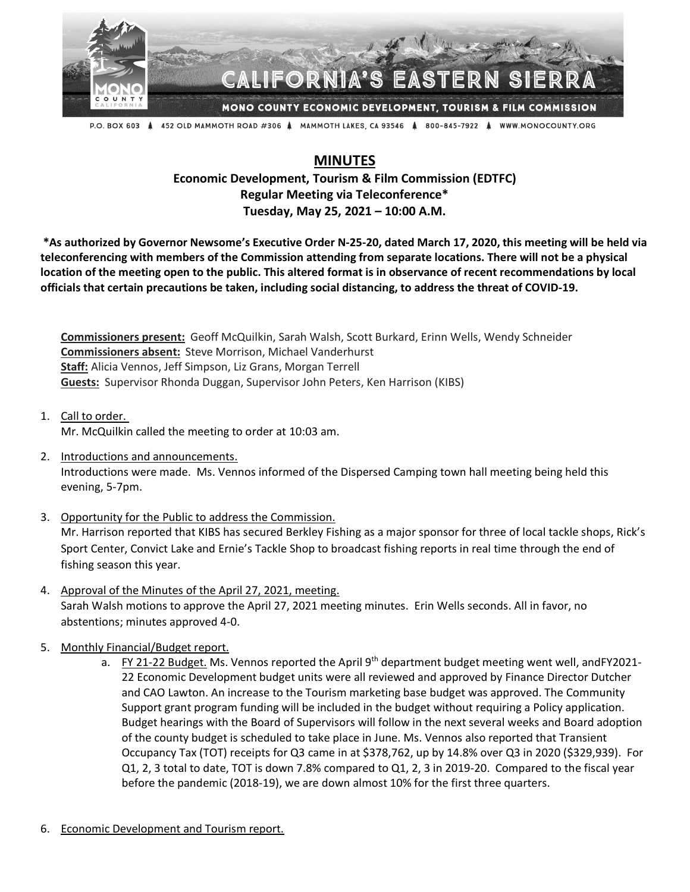

## **IFORNIA'S EAST**

MONO COUNTY ECONOMIC DEVELOPMENT, TOURISM & FILM COMMISSION

P.O. BOX 603 Å 452 OLD MAMMOTH ROAD #306 Å MAMMOTH LAKES, CA 93546 Å 800-845-7922 Å WWW.MONOCOUNTY.ORG

## **MINUTES**

## **Economic Development, Tourism & Film Commission (EDTFC) Regular Meeting via Teleconference\* Tuesday, May 25, 2021 – 10:00 A.M.**

**\*As authorized by Governor Newsome's Executive Order N-25-20, dated March 17, 2020, this meeting will be held via teleconferencing with members of the Commission attending from separate locations. There will not be a physical location of the meeting open to the public. This altered format is in observance of recent recommendations by local officials that certain precautions be taken, including social distancing, to address the threat of COVID-19.**

**Commissioners present:** Geoff McQuilkin, Sarah Walsh, Scott Burkard, Erinn Wells, Wendy Schneider **Commissioners absent:** Steve Morrison, Michael Vanderhurst **Staff:** Alicia Vennos, Jeff Simpson, Liz Grans, Morgan Terrell **Guests:** Supervisor Rhonda Duggan, Supervisor John Peters, Ken Harrison (KIBS)

1. Call to order. Mr. McQuilkin called the meeting to order at 10:03 am.

- 2. Introductions and announcements. Introductions were made. Ms. Vennos informed of the Dispersed Camping town hall meeting being held this evening, 5-7pm.
- 3. Opportunity for the Public to address the Commission. Mr. Harrison reported that KIBS has secured Berkley Fishing as a major sponsor for three of local tackle shops, Rick's Sport Center, Convict Lake and Ernie's Tackle Shop to broadcast fishing reports in real time through the end of fishing season this year.
- 4. Approval of the Minutes of the April 27, 2021, meeting. Sarah Walsh motions to approve the April 27, 2021 meeting minutes. Erin Wells seconds. All in favor, no abstentions; minutes approved 4-0.
- 5. Monthly Financial/Budget report.
	- a. FY 21-22 Budget. Ms. Vennos reported the April 9<sup>th</sup> department budget meeting went well, andFY2021-22 Economic Development budget units were all reviewed and approved by Finance Director Dutcher and CAO Lawton. An increase to the Tourism marketing base budget was approved. The Community Support grant program funding will be included in the budget without requiring a Policy application. Budget hearings with the Board of Supervisors will follow in the next several weeks and Board adoption of the county budget is scheduled to take place in June. Ms. Vennos also reported that Transient Occupancy Tax (TOT) receipts for Q3 came in at \$378,762, up by 14.8% over Q3 in 2020 (\$329,939). For Q1, 2, 3 total to date, TOT is down 7.8% compared to Q1, 2, 3 in 2019-20. Compared to the fiscal year before the pandemic (2018-19), we are down almost 10% for the first three quarters.
- 6. Economic Development and Tourism report.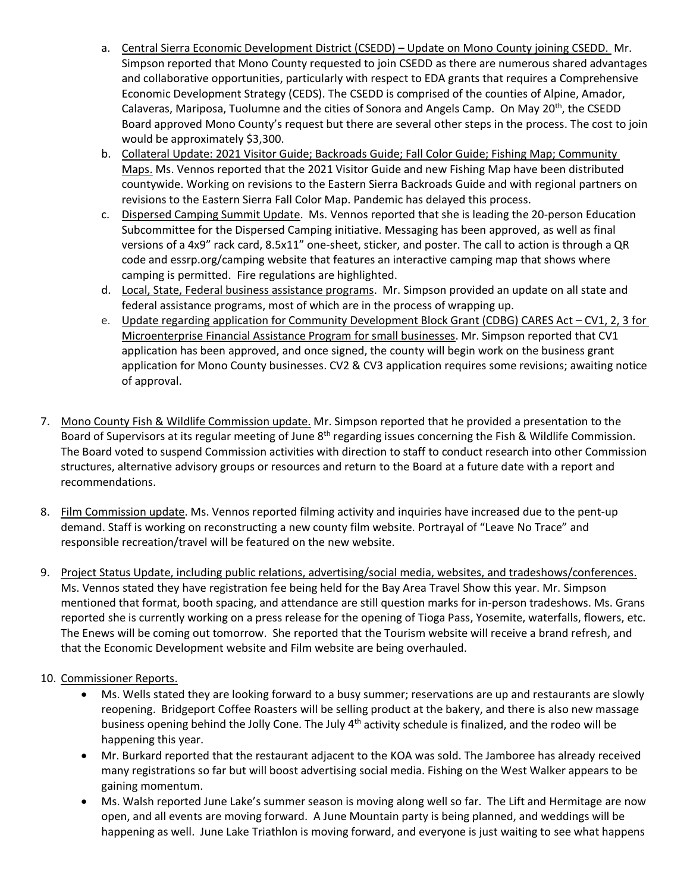- a. Central Sierra Economic Development District (CSEDD) Update on Mono County joining CSEDD. Mr. Simpson reported that Mono County requested to join CSEDD as there are numerous shared advantages and collaborative opportunities, particularly with respect to EDA grants that requires a Comprehensive Economic Development Strategy (CEDS). The CSEDD is comprised of the counties of Alpine, Amador, Calaveras, Mariposa, Tuolumne and the cities of Sonora and Angels Camp. On May 20<sup>th</sup>, the CSEDD Board approved Mono County's request but there are several other steps in the process. The cost to join would be approximately \$3,300.
- b. Collateral Update: 2021 Visitor Guide; Backroads Guide; Fall Color Guide; Fishing Map; Community Maps. Ms. Vennos reported that the 2021 Visitor Guide and new Fishing Map have been distributed countywide. Working on revisions to the Eastern Sierra Backroads Guide and with regional partners on revisions to the Eastern Sierra Fall Color Map. Pandemic has delayed this process.
- c. Dispersed Camping Summit Update. Ms. Vennos reported that she is leading the 20-person Education Subcommittee for the Dispersed Camping initiative. Messaging has been approved, as well as final versions of a 4x9" rack card, 8.5x11" one-sheet, sticker, and poster. The call to action is through a QR code and essrp.org/camping website that features an interactive camping map that shows where camping is permitted. Fire regulations are highlighted.
- d. Local, State, Federal business assistance programs. Mr. Simpson provided an update on all state and federal assistance programs, most of which are in the process of wrapping up.
- e. Update regarding application for Community Development Block Grant (CDBG) CARES Act CV1, 2, 3 for Microenterprise Financial Assistance Program for small businesses. Mr. Simpson reported that CV1 application has been approved, and once signed, the county will begin work on the business grant application for Mono County businesses. CV2 & CV3 application requires some revisions; awaiting notice of approval.
- 7. Mono County Fish & Wildlife Commission update. Mr. Simpson reported that he provided a presentation to the Board of Supervisors at its regular meeting of June 8<sup>th</sup> regarding issues concerning the Fish & Wildlife Commission. The Board voted to suspend Commission activities with direction to staff to conduct research into other Commission structures, alternative advisory groups or resources and return to the Board at a future date with a report and recommendations.
- 8. Film Commission update. Ms. Vennos reported filming activity and inquiries have increased due to the pent-up demand. Staff is working on reconstructing a new county film website. Portrayal of "Leave No Trace" and responsible recreation/travel will be featured on the new website.
- 9. Project Status Update, including public relations, advertising/social media, websites, and tradeshows/conferences. Ms. Vennos stated they have registration fee being held for the Bay Area Travel Show this year. Mr. Simpson mentioned that format, booth spacing, and attendance are still question marks for in-person tradeshows. Ms. Grans reported she is currently working on a press release for the opening of Tioga Pass, Yosemite, waterfalls, flowers, etc. The Enews will be coming out tomorrow. She reported that the Tourism website will receive a brand refresh, and that the Economic Development website and Film website are being overhauled.

## 10. Commissioner Reports.

- Ms. Wells stated they are looking forward to a busy summer; reservations are up and restaurants are slowly reopening. Bridgeport Coffee Roasters will be selling product at the bakery, and there is also new massage business opening behind the Jolly Cone. The July 4<sup>th</sup> activity schedule is finalized, and the rodeo will be happening this year.
- Mr. Burkard reported that the restaurant adjacent to the KOA was sold. The Jamboree has already received many registrations so far but will boost advertising social media. Fishing on the West Walker appears to be gaining momentum.
- Ms. Walsh reported June Lake's summer season is moving along well so far. The Lift and Hermitage are now open, and all events are moving forward. A June Mountain party is being planned, and weddings will be happening as well. June Lake Triathlon is moving forward, and everyone is just waiting to see what happens